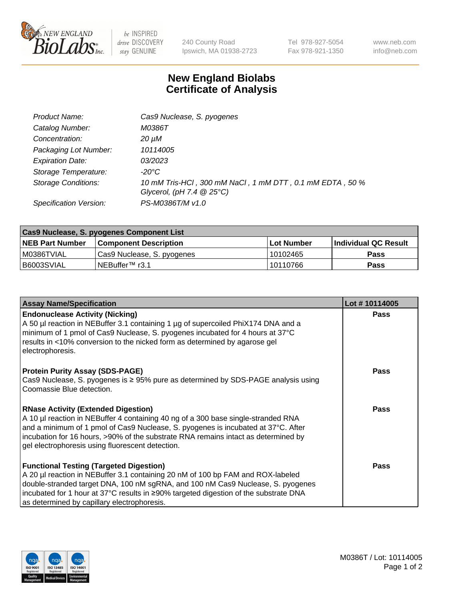

 $be$  INSPIRED drive DISCOVERY stay GENUINE

240 County Road Ipswich, MA 01938-2723 Tel 978-927-5054 Fax 978-921-1350 www.neb.com info@neb.com

## **New England Biolabs Certificate of Analysis**

| Product Name:              | Cas9 Nuclease, S. pyogenes                                                              |
|----------------------------|-----------------------------------------------------------------------------------------|
| Catalog Number:            | M0386T                                                                                  |
| Concentration:             | 20 µM                                                                                   |
| Packaging Lot Number:      | 10114005                                                                                |
| <b>Expiration Date:</b>    | <i>03/2023</i>                                                                          |
| Storage Temperature:       | -20°C                                                                                   |
| <b>Storage Conditions:</b> | 10 mM Tris-HCl, 300 mM NaCl, 1 mM DTT, 0.1 mM EDTA, 50 %<br>Glycerol, (pH 7.4 $@25°C$ ) |
| Specification Version:     | PS-M0386T/M v1.0                                                                        |

| <b>Cas9 Nuclease, S. pyogenes Component List</b> |                              |                   |                      |  |  |
|--------------------------------------------------|------------------------------|-------------------|----------------------|--|--|
| <b>NEB Part Number</b>                           | <b>Component Description</b> | <b>Lot Number</b> | Individual QC Result |  |  |
| I M0386TVIAL                                     | Cas9 Nuclease, S. pyogenes   | l 10102465        | <b>Pass</b>          |  |  |
| I B6003SVIAL                                     | INEBuffer™ r3.1              | 10110766          | <b>Pass</b>          |  |  |

| <b>Assay Name/Specification</b>                                                                                                                                                                                                                                                                                                                                | Lot #10114005 |
|----------------------------------------------------------------------------------------------------------------------------------------------------------------------------------------------------------------------------------------------------------------------------------------------------------------------------------------------------------------|---------------|
| <b>Endonuclease Activity (Nicking)</b><br>A 50 µl reaction in NEBuffer 3.1 containing 1 µg of supercoiled PhiX174 DNA and a<br>minimum of 1 pmol of Cas9 Nuclease, S. pyogenes incubated for 4 hours at 37°C<br>results in <10% conversion to the nicked form as determined by agarose gel<br>electrophoresis.                                                 | <b>Pass</b>   |
| <b>Protein Purity Assay (SDS-PAGE)</b><br>Cas9 Nuclease, S. pyogenes is ≥ 95% pure as determined by SDS-PAGE analysis using<br>Coomassie Blue detection.                                                                                                                                                                                                       | <b>Pass</b>   |
| <b>RNase Activity (Extended Digestion)</b><br>A 10 µl reaction in NEBuffer 4 containing 40 ng of a 300 base single-stranded RNA<br>and a minimum of 1 pmol of Cas9 Nuclease, S. pyogenes is incubated at 37°C. After<br>incubation for 16 hours, >90% of the substrate RNA remains intact as determined by<br>gel electrophoresis using fluorescent detection. | Pass          |
| <b>Functional Testing (Targeted Digestion)</b><br>A 20 µl reaction in NEBuffer 3.1 containing 20 nM of 100 bp FAM and ROX-labeled<br>double-stranded target DNA, 100 nM sgRNA, and 100 nM Cas9 Nuclease, S. pyogenes<br> incubated for 1 hour at 37°C results in ≥90% targeted digestion of the substrate DNA<br>as determined by capillary electrophoresis.   | Pass          |